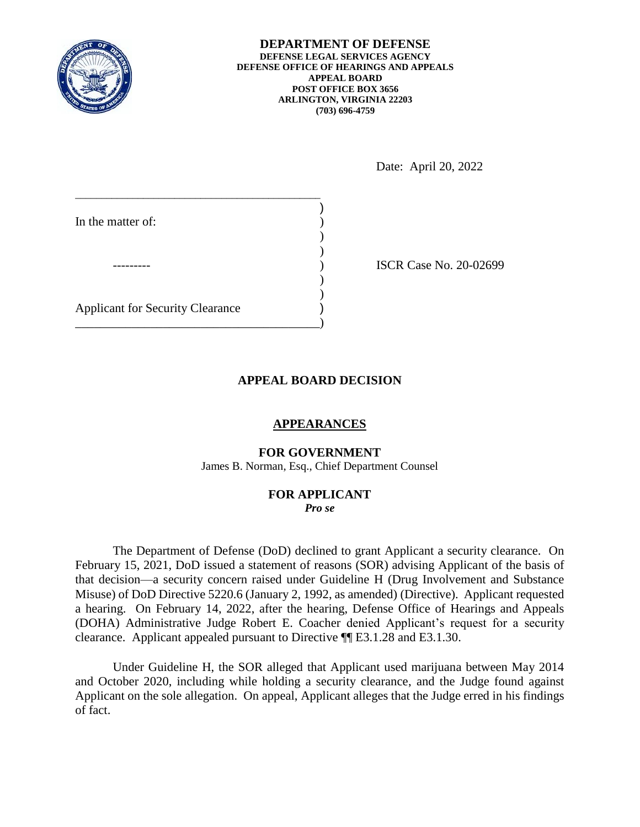

**DEPARTMENT OF DEFENSE DEFENSE LEGAL SERVICES AGENCY DEFENSE OFFICE OF HEARINGS AND APPEALS APPEAL BOARD POST OFFICE BOX 3656 ARLINGTON, VIRGINIA 22203 (703) 696-4759** 

Date: April 20, 2022

| In the matter of:                       |  |
|-----------------------------------------|--|
|                                         |  |
|                                         |  |
| <b>Applicant for Security Clearance</b> |  |
|                                         |  |

ISCR Case No. 20-02699

## **APPEAL BOARD DECISION**

## **APPEARANCES**

### **FOR GOVERNMENT**

James B. Norman, Esq., Chief Department Counsel

# **FOR APPLICANT**

*Pro se* 

 The Department of Defense (DoD) declined to grant Applicant a security clearance. On February 15, 2021, DoD issued a statement of reasons (SOR) advising Applicant of the basis of that decision—a security concern raised under Guideline H (Drug Involvement and Substance a hearing. On February 14, 2022, after the hearing, Defense Office of Hearings and Appeals (DOHA) Administrative Judge Robert E. Coacher denied Applicant's request for a security Misuse) of DoD Directive 5220.6 (January 2, 1992, as amended) (Directive). Applicant requested clearance. Applicant appealed pursuant to Directive ¶¶ E3.1.28 and E3.1.30.

 Under Guideline H, the SOR alleged that Applicant used marijuana between May 2014 and October 2020, including while holding a security clearance, and the Judge found against Applicant on the sole allegation. On appeal, Applicant alleges that the Judge erred in his findings of fact.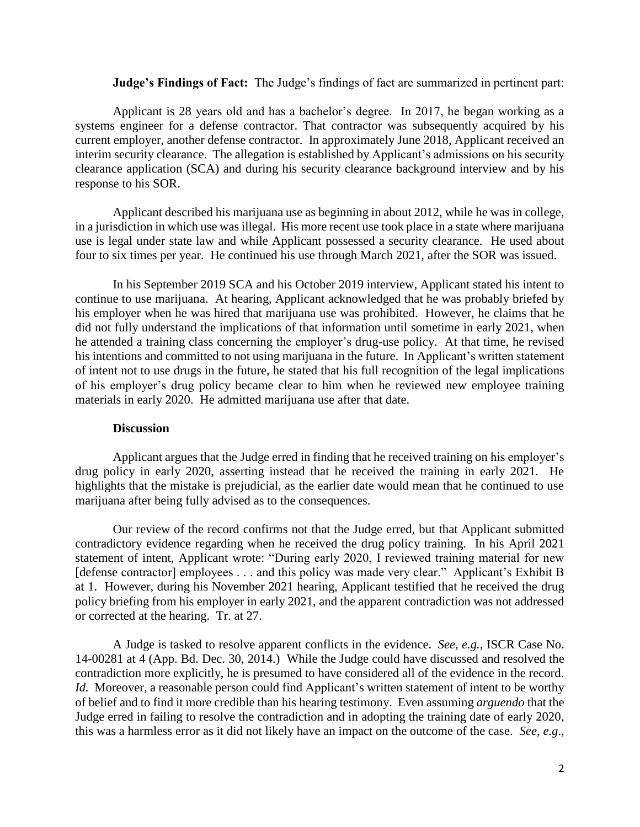## **Judge's Findings of Fact:** The Judge's findings of fact are summarized in pertinent part:

 Applicant is 28 years old and has a bachelor's degree. In 2017, he began working as a systems engineer for a defense contractor. That contractor was subsequently acquired by his current employer, another defense contractor. In approximately June 2018, Applicant received an interim security clearance. The allegation is established by Applicant's admissions on his security clearance application (SCA) and during his security clearance background interview and by his response to his SOR. response to his SOR.<br>Applicant described his marijuana use as beginning in about 2012, while he was in college,

 in a jurisdiction in which use was illegal. His more recent use took place in a state where marijuana use is legal under state law and while Applicant possessed a security clearance. He used about four to six times per year. He continued his use through March 2021, after the SOR was issued.

 In his September 2019 SCA and his October 2019 interview, Applicant stated his intent to continue to use marijuana. At hearing, Applicant acknowledged that he was probably briefed by his employer when he was hired that marijuana use was prohibited. However, he claims that he he attended a training class concerning the employer's drug-use policy. At that time, he revised his intentions and committed to not using marijuana in the future. In Applicant's written statement of his employer's drug policy became clear to him when he reviewed new employee training did not fully understand the implications of that information until sometime in early 2021, when of intent not to use drugs in the future, he stated that his full recognition of the legal implications materials in early 2020. He admitted marijuana use after that date.

### **Discussion**

 Applicant argues that the Judge erred in finding that he received training on his employer's drug policy in early 2020, asserting instead that he received the training in early 2021. He highlights that the mistake is prejudicial, as the earlier date would mean that he continued to use marijuana after being fully advised as to the consequences.

 Our review of the record confirms not that the Judge erred, but that Applicant submitted contradictory evidence regarding when he received the drug policy training. In his April 2021 statement of intent, Applicant wrote: "During early 2020, I reviewed training material for new [defense contractor] employees . . . and this policy was made very clear." Applicant's Exhibit B at 1. However, during his November 2021 hearing, Applicant testified that he received the drug or corrected at the hearing. Tr. at 27. policy briefing from his employer in early 2021, and the apparent contradiction was not addressed

 A Judge is tasked to resolve apparent conflicts in the evidence. *See, e.g.*, ISCR Case No. 14-00281 at 4 (App. Bd. Dec. 30, 2014.) While the Judge could have discussed and resolved the contradiction more explicitly, he is presumed to have considered all of the evidence in the record. *Id.* Moreover, a reasonable person could find Applicant's written statement of intent to be worthy of belief and to find it more credible than his hearing testimony. Even assuming *arguendo* that the Judge erred in failing to resolve the contradiction and in adopting the training date of early 2020, this was a harmless error as it did not likely have an impact on the outcome of the case. *See, e.g*.,